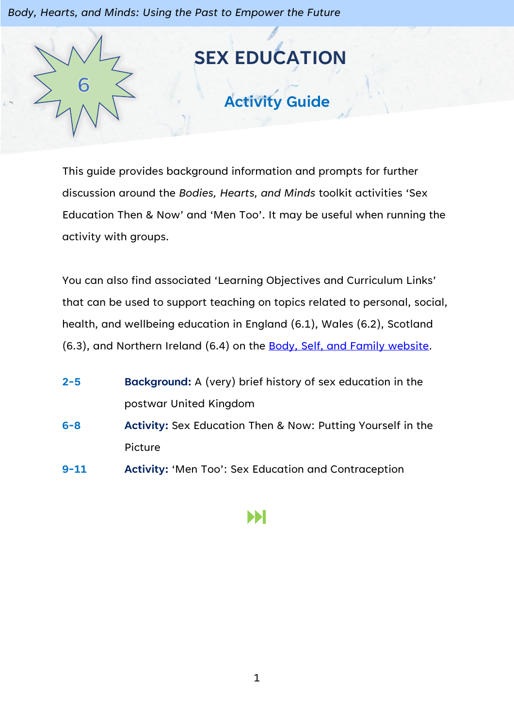*Body, Hearts, and Minds: Using the Past to Empower the Future*



This guide provides background information and prompts for further discussion around the *Bodies, Hearts, and Minds* toolkit activities 'Sex Education Then & Now' and 'Men Too'. It may be useful when running the activity with groups.

You can also find associated 'Learning Objectives and Curriculum Links' that can be used to support teaching on topics related to personal, social, health, and wellbeing education in England (6.1), Wales (6.2), Scotland (6.3), and Northern Ireland (6.4) on the [Body, Self, and Family website.](https://bodyselffamily.org/)

| $2 - 5$  | <b>Background:</b> A (very) brief history of sex education in the |
|----------|-------------------------------------------------------------------|
|          | postwar United Kingdom                                            |
| $6 - 8$  | Activity: Sex Education Then & Now: Putting Yourself in the       |
|          | Picture                                                           |
| $9 - 11$ | Activity: 'Men Too': Sex Education and Contraception              |

# Ы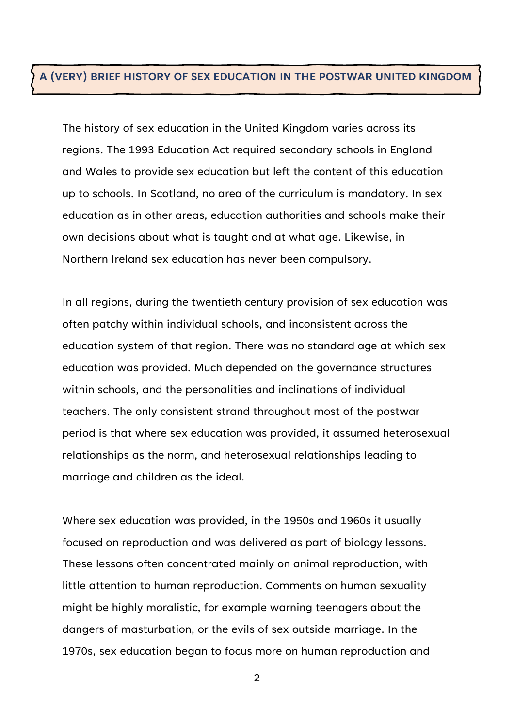#### **A (VERY) BRIEF HISTORY OF SEX EDUCATION IN THE POSTWAR UNITED KINGDOM**

The history of sex education in the United Kingdom varies across its regions. The 1993 Education Act required secondary schools in England and Wales to provide sex education but left the content of this education up to schools. In Scotland, no area of the curriculum is mandatory. In sex education as in other areas, education authorities and schools make their own decisions about what is taught and at what age. Likewise, in Northern Ireland sex education has never been compulsory.

In all regions, during the twentieth century provision of sex education was often patchy within individual schools, and inconsistent across the education system of that region. There was no standard age at which sex education was provided. Much depended on the governance structures within schools, and the personalities and inclinations of individual teachers. The only consistent strand throughout most of the postwar period is that where sex education was provided, it assumed heterosexual relationships as the norm, and heterosexual relationships leading to marriage and children as the ideal.

Where sex education was provided, in the 1950s and 1960s it usually focused on reproduction and was delivered as part of biology lessons. These lessons often concentrated mainly on animal reproduction, with little attention to human reproduction. Comments on human sexuality might be highly moralistic, for example warning teenagers about the dangers of masturbation, or the evils of sex outside marriage. In the 1970s, sex education began to focus more on human reproduction and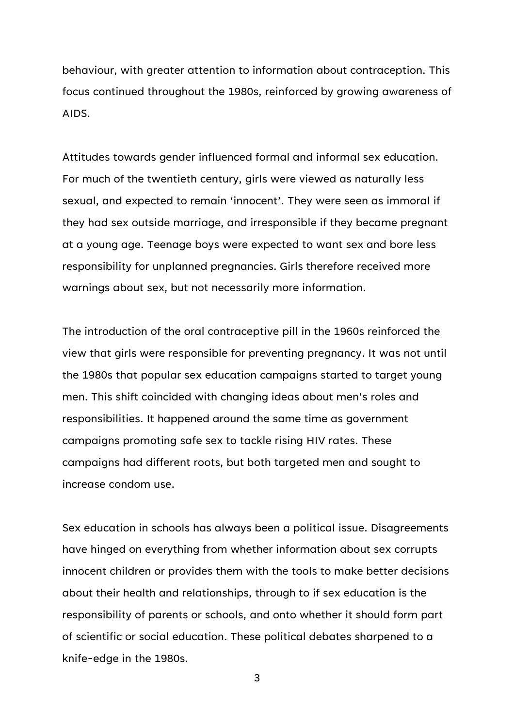behaviour, with greater attention to information about contraception. This focus continued throughout the 1980s, reinforced by growing awareness of AIDS.

Attitudes towards gender influenced formal and informal sex education. For much of the twentieth century, girls were viewed as naturally less sexual, and expected to remain 'innocent'. They were seen as immoral if they had sex outside marriage, and irresponsible if they became pregnant at a young age. Teenage boys were expected to want sex and bore less responsibility for unplanned pregnancies. Girls therefore received more warnings about sex, but not necessarily more information.

The introduction of the oral contraceptive pill in the 1960s reinforced the view that girls were responsible for preventing pregnancy. It was not until the 1980s that popular sex education campaigns started to target young men. This shift coincided with changing ideas about men's roles and responsibilities. It happened around the same time as government campaigns promoting safe sex to tackle rising HIV rates. These campaigns had different roots, but both targeted men and sought to increase condom use.

Sex education in schools has always been a political issue. Disagreements have hinged on everything from whether information about sex corrupts innocent children or provides them with the tools to make better decisions about their health and relationships, through to if sex education is the responsibility of parents or schools, and onto whether it should form part of scientific or social education. These political debates sharpened to a knife-edge in the 1980s.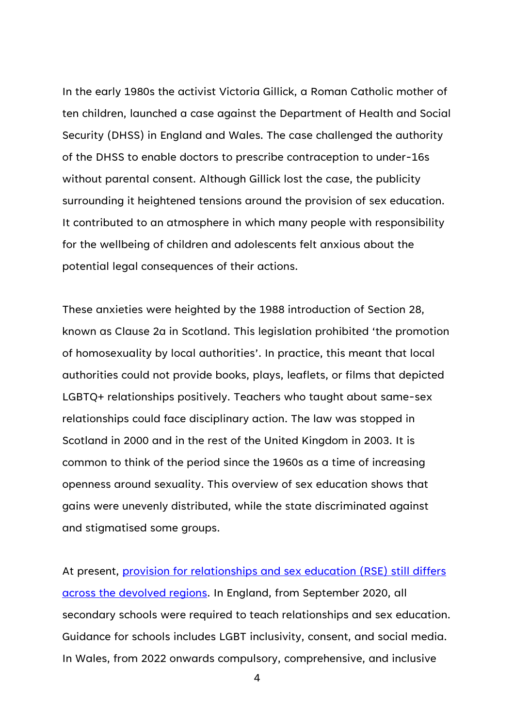In the early 1980s the activist Victoria Gillick, a Roman Catholic mother of ten children, launched a case against the Department of Health and Social Security (DHSS) in England and Wales. The case challenged the authority of the DHSS to enable doctors to prescribe contraception to under-16s without parental consent. Although Gillick lost the case, the publicity surrounding it heightened tensions around the provision of sex education. It contributed to an atmosphere in which many people with responsibility for the wellbeing of children and adolescents felt anxious about the potential legal consequences of their actions.

These anxieties were heighted by the 1988 introduction of Section 28, known as Clause 2a in Scotland. This legislation prohibited 'the promotion of homosexuality by local authorities'. In practice, this meant that local authorities could not provide books, plays, leaflets, or films that depicted LGBTQ+ relationships positively. Teachers who taught about same-sex relationships could face disciplinary action. The law was stopped in Scotland in 2000 and in the rest of the United Kingdom in 2003. It is common to think of the period since the 1960s as a time of increasing openness around sexuality. This overview of sex education shows that gains were unevenly distributed, while the state discriminated against and stigmatised some groups.

At present, [provision for relationships and sex education \(RSE\) still differs](https://www.fpa.org.uk/our-views/)  [across the devolved regions.](https://www.fpa.org.uk/our-views/) In England, from September 2020, all secondary schools were required to teach relationships and sex education. Guidance for schools includes LGBT inclusivity, consent, and social media. In Wales, from 2022 onwards compulsory, comprehensive, and inclusive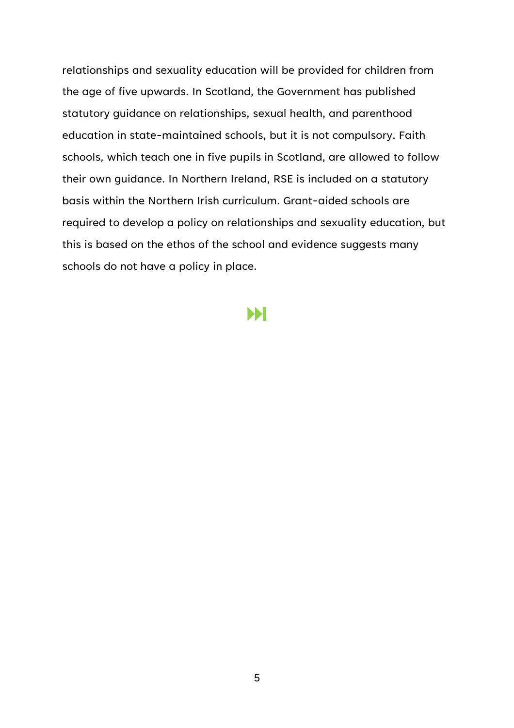relationships and sexuality education will be provided for children from the age of five upwards. In Scotland, the Government has published statutory guidance on relationships, sexual health, and parenthood education in state-maintained schools, but it is not compulsory. Faith schools, which teach one in five pupils in Scotland, are allowed to follow their own guidance. In Northern Ireland, RSE is included on a statutory basis within the Northern Irish curriculum. Grant-aided schools are required to develop a policy on relationships and sexuality education, but this is based on the ethos of the school and evidence suggests many schools do not have a policy in place.

## Ы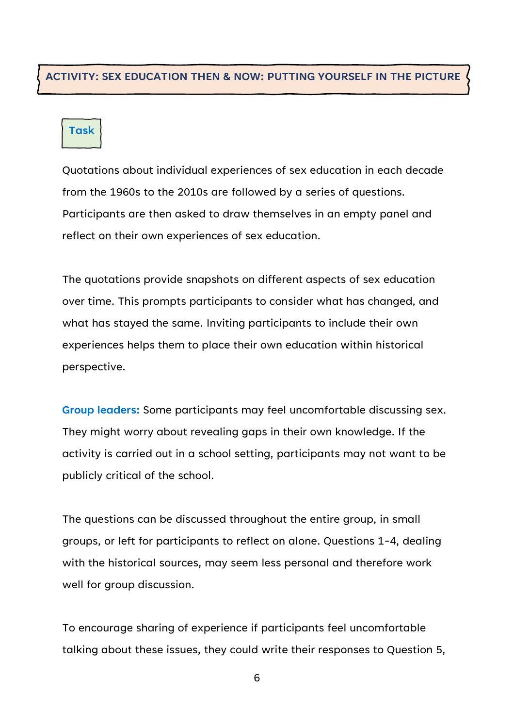### **ACTIVITY: SEX EDUCATION THEN & NOW: PUTTING YOURSELF IN THE PICTURE**

### **Task**

Quotations about individual experiences of sex education in each decade from the 1960s to the 2010s are followed by a series of questions. Participants are then asked to draw themselves in an empty panel and reflect on their own experiences of sex education.

The quotations provide snapshots on different aspects of sex education over time. This prompts participants to consider what has changed, and what has stayed the same. Inviting participants to include their own experiences helps them to place their own education within historical perspective.

**Group leaders:** Some participants may feel uncomfortable discussing sex. They might worry about revealing gaps in their own knowledge. If the activity is carried out in a school setting, participants may not want to be publicly critical of the school.

The questions can be discussed throughout the entire group, in small groups, or left for participants to reflect on alone. Questions 1-4, dealing with the historical sources, may seem less personal and therefore work well for group discussion.

To encourage sharing of experience if participants feel uncomfortable talking about these issues, they could write their responses to Question 5,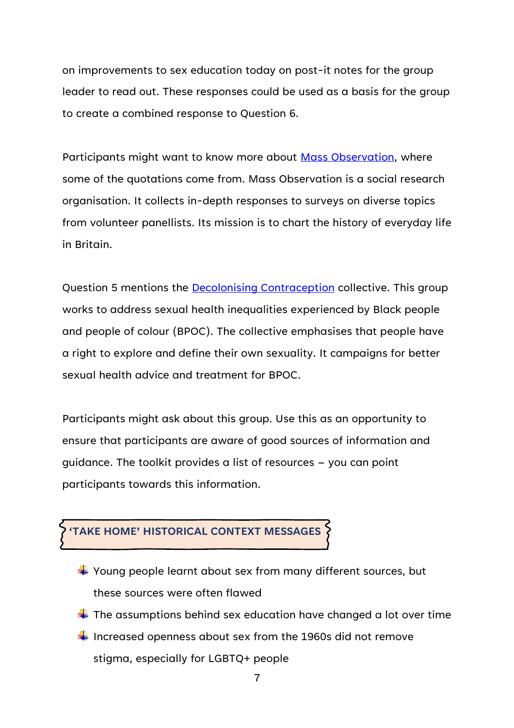on improvements to sex education today on post-it notes for the group leader to read out. These responses could be used as a basis for the group to create a combined response to Question 6.

Participants might want to know more about [Mass Observation,](http://www.massobs.org.uk/) where some of the quotations come from. Mass Observation is a social research organisation. It collects in-depth responses to surveys on diverse topics from volunteer panellists. Its mission is to chart the history of everyday life in Britain.

Question 5 mentions the **Decolonising Contraception** collective. This group works to address sexual health inequalities experienced by Black people and people of colour (BPOC). The collective emphasises that people have a right to explore and define their own sexuality. It campaigns for better sexual health advice and treatment for BPOC.

Participants might ask about this group. Use this as an opportunity to ensure that participants are aware of good sources of information and guidance. The toolkit provides a list of resources – you can point participants towards this information.

## **'TAKE HOME' HISTORICAL CONTEXT MESSAGES**

- $\frac{1}{2}$  Young people learnt about sex from many different sources, but these sources were often flawed
- $\ddot$  The assumptions behind sex education have changed a lot over time
- $\frac{1}{2}$  Increased openness about sex from the 1960s did not remove stigma, especially for LGBTQ+ people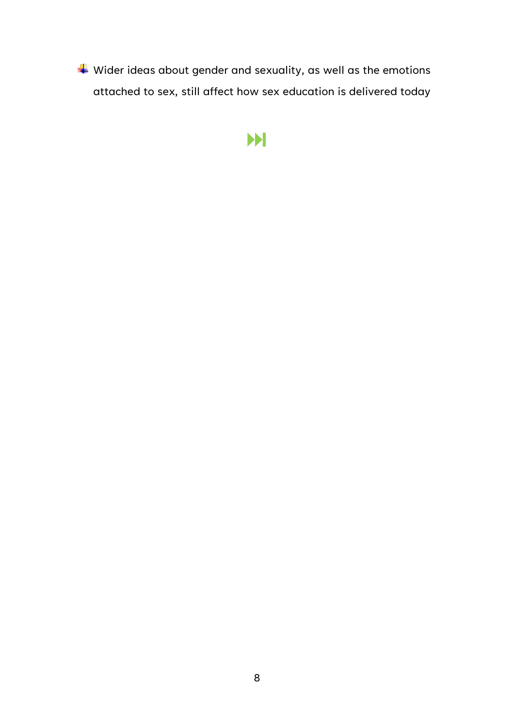$\overline{\phantom{a} }$  Wider ideas about gender and sexuality, as well as the emotions attached to sex, still affect how sex education is delivered today

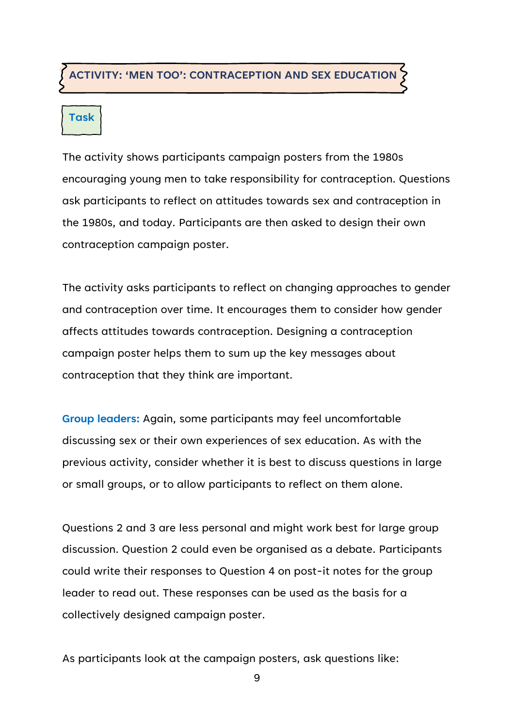### **ACTIVITY: 'MEN TOO': CONTRACEPTION AND SEX EDUCATION**

# **Task**

The activity shows participants campaign posters from the 1980s encouraging young men to take responsibility for contraception. Questions ask participants to reflect on attitudes towards sex and contraception in the 1980s, and today. Participants are then asked to design their own contraception campaign poster.

The activity asks participants to reflect on changing approaches to gender and contraception over time. It encourages them to consider how gender affects attitudes towards contraception. Designing a contraception campaign poster helps them to sum up the key messages about contraception that they think are important.

**Group leaders:** Again, some participants may feel uncomfortable discussing sex or their own experiences of sex education. As with the previous activity, consider whether it is best to discuss questions in large or small groups, or to allow participants to reflect on them alone.

Questions 2 and 3 are less personal and might work best for large group discussion. Question 2 could even be organised as a debate. Participants could write their responses to Question 4 on post-it notes for the group leader to read out. These responses can be used as the basis for a collectively designed campaign poster.

As participants look at the campaign posters, ask questions like: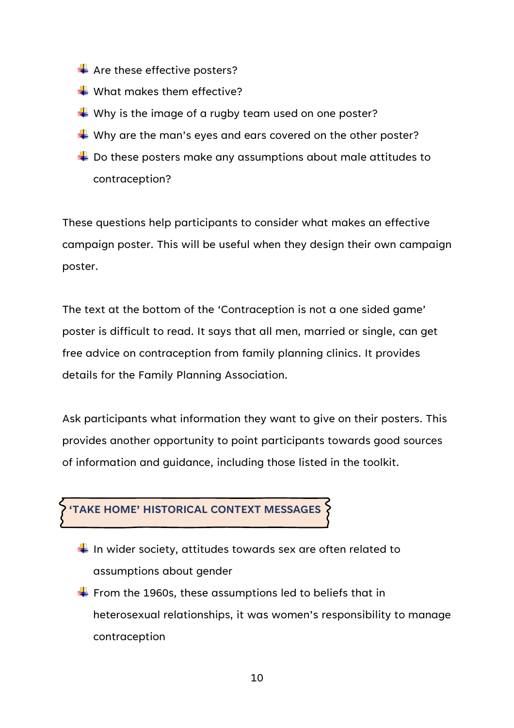- $\triangleq$  Are these effective posters?
- $\frac{1}{2}$  What makes them effective?
- $\blacktriangleright$  Why is the image of a rugby team used on one poster?
- $\blacktriangleright$  Why are the man's eyes and ears covered on the other poster?
- $\overline{\phantom{a}}$  Do these posters make any assumptions about male attitudes to contraception?

These questions help participants to consider what makes an effective campaign poster. This will be useful when they design their own campaign poster.

The text at the bottom of the 'Contraception is not a one sided game' poster is difficult to read. It says that all men, married or single, can get free advice on contraception from family planning clinics. It provides details for the Family Planning Association.

Ask participants what information they want to give on their posters. This provides another opportunity to point participants towards good sources of information and guidance, including those listed in the toolkit.



- $\frac{1}{\sqrt{1}}$  In wider society, attitudes towards sex are often related to assumptions about gender
- $\div$  From the 1960s, these assumptions led to beliefs that in heterosexual relationships, it was women's responsibility to manage contraception